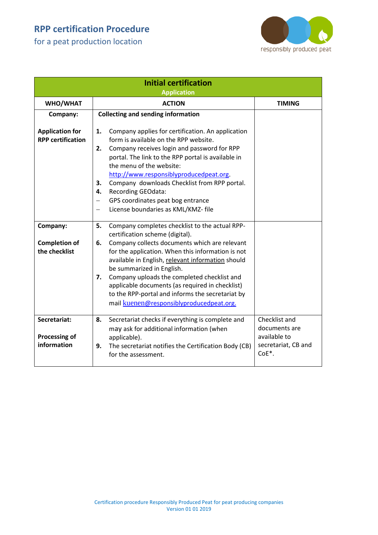for a peat production location



| <b>Initial certification</b><br><b>Application</b> |                                                                                                                                                                                                                                                                                                                                                                                                                                                                                               |                                                                                |  |  |
|----------------------------------------------------|-----------------------------------------------------------------------------------------------------------------------------------------------------------------------------------------------------------------------------------------------------------------------------------------------------------------------------------------------------------------------------------------------------------------------------------------------------------------------------------------------|--------------------------------------------------------------------------------|--|--|
| WHO/WHAT                                           | <b>ACTION</b>                                                                                                                                                                                                                                                                                                                                                                                                                                                                                 | <b>TIMING</b>                                                                  |  |  |
| Company:                                           | <b>Collecting and sending information</b>                                                                                                                                                                                                                                                                                                                                                                                                                                                     |                                                                                |  |  |
| <b>Application for</b><br><b>RPP certification</b> | Company applies for certification. An application<br>1.<br>form is available on the RPP website.<br>Company receives login and password for RPP<br>2.<br>portal. The link to the RPP portal is available in<br>the menu of the website:<br>http://www.responsiblyproducedpeat.org.<br>Company downloads Checklist from RPP portal.<br>3.<br><b>Recording GEOdata:</b><br>4.                                                                                                                   |                                                                                |  |  |
|                                                    | GPS coordinates peat bog entrance<br>$\qquad \qquad -$<br>License boundaries as KML/KMZ- file<br>—                                                                                                                                                                                                                                                                                                                                                                                            |                                                                                |  |  |
| Company:<br><b>Completion of</b><br>the checklist  | Company completes checklist to the actual RPP-<br>5.<br>certification scheme (digital).<br>Company collects documents which are relevant<br>6.<br>for the application. When this information is not<br>available in English, relevant information should<br>be summarized in English.<br>Company uploads the completed checklist and<br>7.<br>applicable documents (as required in checklist)<br>to the RPP-portal and informs the secretariat by<br>mail kuenen@responsiblyproducedpeat.org. |                                                                                |  |  |
| Secretariat:<br>Processing of<br>information       | Secretariat checks if everything is complete and<br>8.<br>may ask for additional information (when<br>applicable).<br>The secretariat notifies the Certification Body (CB)<br>9.<br>for the assessment.                                                                                                                                                                                                                                                                                       | Checklist and<br>documents are<br>available to<br>secretariat, CB and<br>CoE*. |  |  |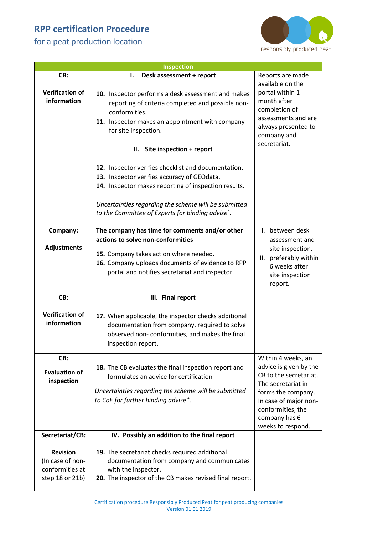for a peat production location

 $\mathsf{l}$ 



| <b>Inspection</b>                                                         |                                                                                                                                                                                                                                     |                                                                                                                                                                                                         |  |  |
|---------------------------------------------------------------------------|-------------------------------------------------------------------------------------------------------------------------------------------------------------------------------------------------------------------------------------|---------------------------------------------------------------------------------------------------------------------------------------------------------------------------------------------------------|--|--|
| CB:                                                                       | Desk assessment + report<br>I.                                                                                                                                                                                                      | Reports are made<br>available on the                                                                                                                                                                    |  |  |
| <b>Verification of</b><br>information                                     | 10. Inspector performs a desk assessment and makes<br>reporting of criteria completed and possible non-<br>conformities.<br>11. Inspector makes an appointment with company<br>for site inspection.<br>II. Site inspection + report | portal within 1<br>month after<br>completion of<br>assessments and are<br>always presented to<br>company and<br>secretariat.                                                                            |  |  |
|                                                                           | 12. Inspector verifies checklist and documentation.<br>13. Inspector verifies accuracy of GEOdata.                                                                                                                                  |                                                                                                                                                                                                         |  |  |
|                                                                           | 14. Inspector makes reporting of inspection results.                                                                                                                                                                                |                                                                                                                                                                                                         |  |  |
|                                                                           | Uncertainties regarding the scheme will be submitted<br>to the Committee of Experts for binding advise <sup>*</sup> .                                                                                                               |                                                                                                                                                                                                         |  |  |
| Company:                                                                  | The company has time for comments and/or other                                                                                                                                                                                      | I. between desk                                                                                                                                                                                         |  |  |
| <b>Adjustments</b>                                                        | actions to solve non-conformities<br>15. Company takes action where needed.<br>16. Company uploads documents of evidence to RPP<br>portal and notifies secretariat and inspector.                                                   | assessment and<br>site inspection.<br>II. preferably within<br>6 weeks after<br>site inspection<br>report.                                                                                              |  |  |
| CB:                                                                       | III. Final report                                                                                                                                                                                                                   |                                                                                                                                                                                                         |  |  |
| <b>Verification of</b><br>information                                     | 17. When applicable, the inspector checks additional<br>documentation from company, required to solve<br>observed non-conformities, and makes the final<br>inspection report.                                                       |                                                                                                                                                                                                         |  |  |
| CB:<br><b>Evaluation of</b><br>inspection                                 | 18. The CB evaluates the final inspection report and<br>formulates an advice for certification<br>Uncertainties regarding the scheme will be submitted<br>to CoE for further binding advise*.                                       | Within 4 weeks, an<br>advice is given by the<br>CB to the secretariat.<br>The secretariat in-<br>forms the company.<br>In case of major non-<br>conformities, the<br>company has 6<br>weeks to respond. |  |  |
| Secretariat/CB:                                                           | IV. Possibly an addition to the final report                                                                                                                                                                                        |                                                                                                                                                                                                         |  |  |
| <b>Revision</b><br>(In case of non-<br>conformities at<br>step 18 or 21b) | 19. The secretariat checks required additional<br>documentation from company and communicates<br>with the inspector.<br>20. The inspector of the CB makes revised final report.                                                     |                                                                                                                                                                                                         |  |  |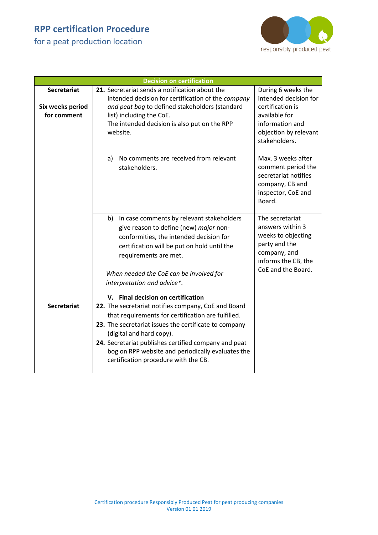for a peat production location



| <b>Decision on certification</b>                      |                                                                                                                                                                                                                                                                                                                                                                                           |                                                                                                                                               |  |  |
|-------------------------------------------------------|-------------------------------------------------------------------------------------------------------------------------------------------------------------------------------------------------------------------------------------------------------------------------------------------------------------------------------------------------------------------------------------------|-----------------------------------------------------------------------------------------------------------------------------------------------|--|--|
| <b>Secretariat</b><br>Six weeks period<br>for comment | 21. Secretariat sends a notification about the<br>intended decision for certification of the company<br>and peat bog to defined stakeholders (standard<br>list) including the CoE.<br>The intended decision is also put on the RPP<br>website.                                                                                                                                            | During 6 weeks the<br>intended decision for<br>certification is<br>available for<br>information and<br>objection by relevant<br>stakeholders. |  |  |
|                                                       | No comments are received from relevant<br>a)<br>stakeholders.                                                                                                                                                                                                                                                                                                                             | Max. 3 weeks after<br>comment period the<br>secretariat notifies<br>company, CB and<br>inspector, CoE and<br>Board.                           |  |  |
|                                                       | In case comments by relevant stakeholders<br>b)<br>give reason to define (new) major non-<br>conformities, the intended decision for<br>certification will be put on hold until the<br>requirements are met.<br>When needed the CoE can be involved for<br>interpretation and advice*.                                                                                                    | The secretariat<br>answers within 3<br>weeks to objecting<br>party and the<br>company, and<br>informs the CB, the<br>CoE and the Board.       |  |  |
| <b>Secretariat</b>                                    | V. Final decision on certification<br>22. The secretariat notifies company, CoE and Board<br>that requirements for certification are fulfilled.<br>23. The secretariat issues the certificate to company<br>(digital and hard copy).<br>24. Secretariat publishes certified company and peat<br>bog on RPP website and periodically evaluates the<br>certification procedure with the CB. |                                                                                                                                               |  |  |